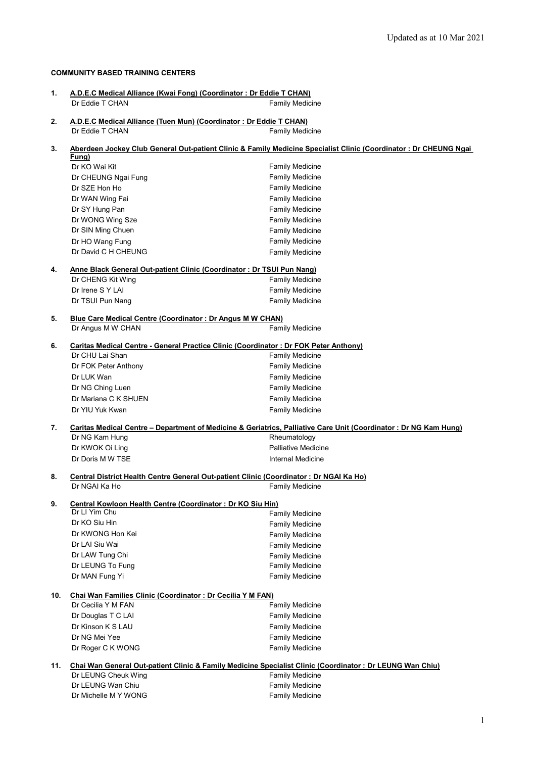#### **COMMUNITY BASED TRAINING CENTERS**

| 1.  | A.D.E.C Medical Alliance (Kwai Fong) (Coordinator: Dr Eddie T CHAN)<br>Dr Eddie T CHAN | <b>Family Medicine</b>                                                                                                             |
|-----|----------------------------------------------------------------------------------------|------------------------------------------------------------------------------------------------------------------------------------|
|     |                                                                                        |                                                                                                                                    |
| 2.  | A.D.E.C Medical Alliance (Tuen Mun) (Coordinator: Dr Eddie T CHAN)                     |                                                                                                                                    |
|     | Dr Eddie T CHAN                                                                        | <b>Family Medicine</b>                                                                                                             |
| 3.  |                                                                                        | Aberdeen Jockey Club General Out-patient Clinic & Family Medicine Specialist Clinic (Coordinator: Dr CHEUNG Ngai                   |
|     | Fung)                                                                                  |                                                                                                                                    |
|     | Dr KO Wai Kit                                                                          | <b>Family Medicine</b>                                                                                                             |
|     | Dr CHEUNG Ngai Fung                                                                    | <b>Family Medicine</b>                                                                                                             |
|     | Dr SZE Hon Ho<br>Dr WAN Wing Fai                                                       | <b>Family Medicine</b><br>Family Medicine                                                                                          |
|     | Dr SY Hung Pan                                                                         | <b>Family Medicine</b>                                                                                                             |
|     | Dr WONG Wing Sze                                                                       | <b>Family Medicine</b>                                                                                                             |
|     | Dr SIN Ming Chuen                                                                      | <b>Family Medicine</b>                                                                                                             |
|     | Dr HO Wang Fung                                                                        | <b>Family Medicine</b>                                                                                                             |
|     | Dr David C H CHEUNG                                                                    | <b>Family Medicine</b>                                                                                                             |
|     |                                                                                        |                                                                                                                                    |
| 4.  | Anne Black General Out-patient Clinic (Coordinator: Dr TSUI Pun Nang)                  |                                                                                                                                    |
|     | Dr CHENG Kit Wing                                                                      | <b>Family Medicine</b>                                                                                                             |
|     | Dr Irene S Y LAI<br>Dr TSUI Pun Nang                                                   | <b>Family Medicine</b><br><b>Family Medicine</b>                                                                                   |
|     |                                                                                        |                                                                                                                                    |
| 5.  | Blue Care Medical Centre (Coordinator: Dr Angus M W CHAN)                              |                                                                                                                                    |
|     | Dr Angus M W CHAN                                                                      | <b>Family Medicine</b>                                                                                                             |
| 6.  |                                                                                        | Caritas Medical Centre - General Practice Clinic (Coordinator : Dr FOK Peter Anthony)                                              |
|     | Dr CHU Lai Shan                                                                        | <b>Family Medicine</b>                                                                                                             |
|     | Dr FOK Peter Anthony                                                                   | <b>Family Medicine</b>                                                                                                             |
|     | Dr LUK Wan                                                                             | <b>Family Medicine</b>                                                                                                             |
|     | Dr NG Ching Luen                                                                       | <b>Family Medicine</b>                                                                                                             |
|     | Dr Mariana C K SHUEN                                                                   | <b>Family Medicine</b>                                                                                                             |
|     | Dr YIU Yuk Kwan                                                                        | <b>Family Medicine</b>                                                                                                             |
|     |                                                                                        |                                                                                                                                    |
| 7.  | Dr NG Kam Hung                                                                         | Caritas Medical Centre - Department of Medicine & Geriatrics, Palliative Care Unit (Coordinator: Dr NG Kam Hung)<br>Rheumatology   |
|     | Dr KWOK Oi Ling                                                                        | <b>Palliative Medicine</b>                                                                                                         |
|     | Dr Doris M W TSE                                                                       | <b>Internal Medicine</b>                                                                                                           |
|     |                                                                                        |                                                                                                                                    |
| 8.  |                                                                                        | Central District Health Centre General Out-patient Clinic (Coordinator: Dr NGAI Ka Ho)                                             |
|     | Dr NGAI Ka Ho                                                                          | <b>Family Medicine</b>                                                                                                             |
| 9.  | Central Kowloon Health Centre (Coordinator: Dr KO Siu Hin)                             |                                                                                                                                    |
|     | Dr LI Yim Chu                                                                          | <b>Family Medicine</b>                                                                                                             |
|     | Dr KO Siu Hin                                                                          | <b>Family Medicine</b>                                                                                                             |
|     | Dr KWONG Hon Kei                                                                       | <b>Family Medicine</b>                                                                                                             |
|     | Dr LAI Siu Wai                                                                         | <b>Family Medicine</b>                                                                                                             |
|     | Dr LAW Tung Chi                                                                        | <b>Family Medicine</b>                                                                                                             |
|     | Dr LEUNG To Fung                                                                       | <b>Family Medicine</b>                                                                                                             |
|     | Dr MAN Fung Yi                                                                         | <b>Family Medicine</b>                                                                                                             |
| 10. | Chai Wan Families Clinic (Coordinator: Dr Cecilia Y M FAN)                             |                                                                                                                                    |
|     | Dr Cecilia Y M FAN                                                                     | <b>Family Medicine</b>                                                                                                             |
|     | Dr Douglas T C LAI                                                                     | <b>Family Medicine</b>                                                                                                             |
|     | Dr Kinson K S LAU                                                                      | <b>Family Medicine</b>                                                                                                             |
|     | Dr NG Mei Yee                                                                          | <b>Family Medicine</b>                                                                                                             |
|     | Dr Roger C K WONG                                                                      | <b>Family Medicine</b>                                                                                                             |
|     |                                                                                        |                                                                                                                                    |
| 11. | Dr LEUNG Cheuk Wing                                                                    | Chai Wan General Out-patient Clinic & Family Medicine Specialist Clinic (Coordinator: Dr LEUNG Wan Chiu)<br><b>Family Medicine</b> |
|     | Dr LEUNG Wan Chiu                                                                      | <b>Family Medicine</b>                                                                                                             |
|     | Dr Michelle M Y WONG                                                                   | <b>Family Medicine</b>                                                                                                             |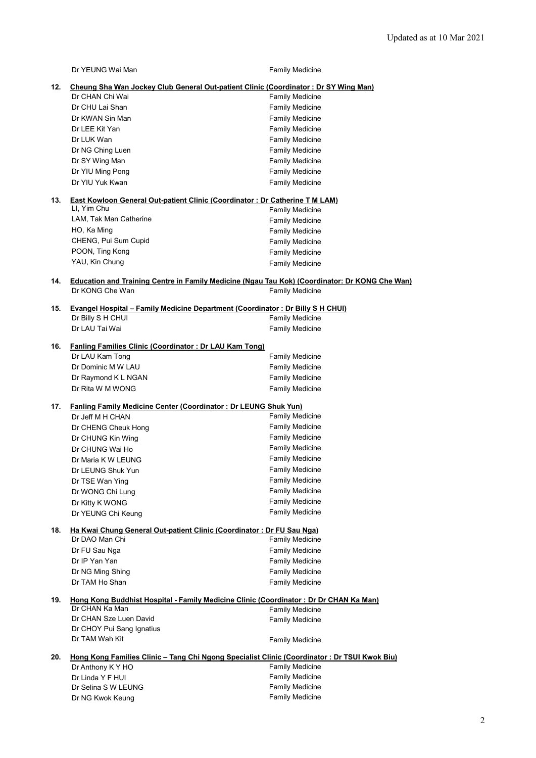|     | Dr YEUNG Wai Man                                                                               | <b>Family Medicine</b> |
|-----|------------------------------------------------------------------------------------------------|------------------------|
| 12. | Cheung Sha Wan Jockey Club General Out-patient Clinic (Coordinator: Dr SY Wing Man)            |                        |
|     | Dr CHAN Chi Wai                                                                                | <b>Family Medicine</b> |
|     | Dr CHU Lai Shan                                                                                | <b>Family Medicine</b> |
|     | Dr KWAN Sin Man                                                                                | <b>Family Medicine</b> |
|     | Dr LEE Kit Yan                                                                                 | <b>Family Medicine</b> |
|     | Dr LUK Wan                                                                                     | <b>Family Medicine</b> |
|     | Dr NG Ching Luen                                                                               | <b>Family Medicine</b> |
|     | Dr SY Wing Man                                                                                 | <b>Family Medicine</b> |
|     | Dr YIU Ming Pong                                                                               | <b>Family Medicine</b> |
|     | Dr YIU Yuk Kwan                                                                                | <b>Family Medicine</b> |
| 13. | <b>East Kowloon General Out-patient Clinic (Coordinator: Dr Catherine T M LAM)</b>             |                        |
|     | LI, Yim Chu                                                                                    | <b>Family Medicine</b> |
|     | LAM, Tak Man Catherine                                                                         | <b>Family Medicine</b> |
|     | HO, Ka Ming                                                                                    | <b>Family Medicine</b> |
|     | CHENG, Pui Sum Cupid                                                                           | <b>Family Medicine</b> |
|     | POON, Ting Kong                                                                                | <b>Family Medicine</b> |
|     | YAU, Kin Chung                                                                                 | <b>Family Medicine</b> |
| 14. | Education and Training Centre in Family Medicine (Ngau Tau Kok) (Coordinator: Dr KONG Che Wan) |                        |
|     | Dr KONG Che Wan                                                                                | <b>Family Medicine</b> |
| 15. | Evangel Hospital - Family Medicine Department (Coordinator: Dr Billy S H CHUI)                 |                        |
|     | Dr Billy S H CHUI                                                                              | <b>Family Medicine</b> |
|     | Dr LAU Tai Wai                                                                                 | <b>Family Medicine</b> |
| 16. | Fanling Families Clinic (Coordinator: Dr LAU Kam Tong)                                         |                        |
|     | Dr LAU Kam Tong                                                                                | <b>Family Medicine</b> |
|     | Dr Dominic M W LAU                                                                             | <b>Family Medicine</b> |
|     | Dr Raymond K L NGAN                                                                            | <b>Family Medicine</b> |
|     | Dr Rita W M WONG                                                                               | <b>Family Medicine</b> |
|     |                                                                                                |                        |
| 17. | Fanling Family Medicine Center (Coordinator: Dr LEUNG Shuk Yun)<br>Dr Jeff M H CHAN            | <b>Family Medicine</b> |
|     | Dr CHENG Cheuk Hong                                                                            | <b>Family Medicine</b> |
|     | Dr CHUNG Kin Wing                                                                              | <b>Family Medicine</b> |
|     | Dr CHUNG Wai Ho                                                                                | <b>Family Medicine</b> |
|     | Dr Maria K W LEUNG                                                                             | <b>Family Medicine</b> |
|     | Dr LEUNG Shuk Yun                                                                              | <b>Family Medicine</b> |
|     | Dr TSE Wan Ying                                                                                | <b>Family Medicine</b> |
|     | Dr WONG Chi Lung                                                                               | <b>Family Medicine</b> |
|     | Dr Kitty K WONG                                                                                | <b>Family Medicine</b> |
|     | Dr YEUNG Chi Keung                                                                             | <b>Family Medicine</b> |
| 18. | Ha Kwai Chung General Out-patient Clinic (Coordinator: Dr FU Sau Nga)                          |                        |
|     | Dr DAO Man Chi                                                                                 | <b>Family Medicine</b> |
|     | Dr FU Sau Nga                                                                                  | <b>Family Medicine</b> |
|     | Dr IP Yan Yan                                                                                  | <b>Family Medicine</b> |
|     | Dr NG Ming Shing                                                                               | <b>Family Medicine</b> |
|     | Dr TAM Ho Shan                                                                                 | <b>Family Medicine</b> |
| 19. | Hong Kong Buddhist Hospital - Family Medicine Clinic (Coordinator: Dr Dr CHAN Ka Man)          |                        |
|     | Dr CHAN Ka Man                                                                                 | <b>Family Medicine</b> |
|     | Dr CHAN Sze Luen David                                                                         | <b>Family Medicine</b> |
|     | Dr CHOY Pui Sang Ignatius                                                                      |                        |
|     | Dr TAM Wah Kit                                                                                 | <b>Family Medicine</b> |
| 20. | Hong Kong Families Clinic - Tang Chi Ngong Specialist Clinic (Coordinator: Dr TSUI Kwok Biu)   |                        |
|     | Dr Anthony K Y HO                                                                              | <b>Family Medicine</b> |
|     | Dr Linda Y F HUI                                                                               | <b>Family Medicine</b> |
|     | Dr Selina S W LEUNG                                                                            | <b>Family Medicine</b> |
|     | Dr NG Kwok Keung                                                                               | <b>Family Medicine</b> |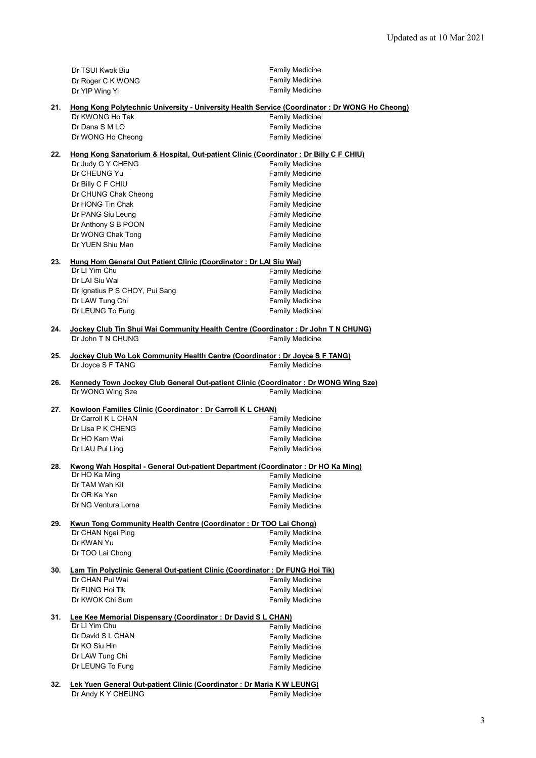|     | Dr TSUI Kwok Biu                                                                       | <b>Family Medicine</b>                                                                                |
|-----|----------------------------------------------------------------------------------------|-------------------------------------------------------------------------------------------------------|
|     | Dr Roger C K WONG                                                                      | <b>Family Medicine</b>                                                                                |
|     | Dr YIP Wing Yi                                                                         | <b>Family Medicine</b>                                                                                |
| 21. |                                                                                        | Hong Kong Polytechnic University - University Health Service (Coordinator: Dr WONG Ho Cheong)         |
|     | Dr KWONG Ho Tak                                                                        | Family Medicine                                                                                       |
|     | Dr Dana S M LO                                                                         | <b>Family Medicine</b>                                                                                |
|     | Dr WONG Ho Cheong                                                                      | <b>Family Medicine</b>                                                                                |
|     |                                                                                        |                                                                                                       |
| 22. |                                                                                        | Hong Kong Sanatorium & Hospital, Out-patient Clinic (Coordinator: Dr Billy C F CHIU)                  |
|     | Dr Judy G Y CHENG                                                                      | <b>Family Medicine</b>                                                                                |
|     | Dr CHEUNG Yu                                                                           | <b>Family Medicine</b>                                                                                |
|     | Dr Billy C F CHIU                                                                      | <b>Family Medicine</b>                                                                                |
|     | Dr CHUNG Chak Cheong                                                                   | <b>Family Medicine</b>                                                                                |
|     | Dr HONG Tin Chak                                                                       | <b>Family Medicine</b>                                                                                |
|     | Dr PANG Siu Leung                                                                      | <b>Family Medicine</b>                                                                                |
|     | Dr Anthony S B POON                                                                    | <b>Family Medicine</b>                                                                                |
|     | Dr WONG Chak Tong                                                                      | <b>Family Medicine</b>                                                                                |
|     | Dr YUEN Shiu Man                                                                       | <b>Family Medicine</b>                                                                                |
|     |                                                                                        |                                                                                                       |
| 23. | Hung Hom General Out Patient Clinic (Coordinator : Dr LAI Siu Wai)<br>Dr I I Yim Chu   | <b>Family Medicine</b>                                                                                |
|     | Dr LAI Siu Wai                                                                         | <b>Family Medicine</b>                                                                                |
|     | Dr Ignatius P S CHOY, Pui Sang                                                         | <b>Family Medicine</b>                                                                                |
|     | Dr LAW Tung Chi                                                                        | <b>Family Medicine</b>                                                                                |
|     | Dr LEUNG To Fung                                                                       | <b>Family Medicine</b>                                                                                |
|     |                                                                                        |                                                                                                       |
| 24. |                                                                                        | Jockey Club Tin Shui Wai Community Health Centre (Coordinator : Dr John T N CHUNG)                    |
|     | Dr John T N CHUNG                                                                      | <b>Family Medicine</b>                                                                                |
|     |                                                                                        |                                                                                                       |
| 25. | Dr Joyce S F TANG                                                                      | Jockey Club Wo Lok Community Health Centre (Coordinator: Dr Joyce S F TANG)<br><b>Family Medicine</b> |
|     |                                                                                        |                                                                                                       |
| 26. |                                                                                        | Kennedy Town Jockey Club General Out-patient Clinic (Coordinator: Dr WONG Wing Sze)                   |
|     | Dr WONG Wing Sze                                                                       | <b>Family Medicine</b>                                                                                |
| 27. | Kowloon Families Clinic (Coordinator: Dr Carroll K L CHAN)                             |                                                                                                       |
|     | Dr Carroll K L CHAN                                                                    | <b>Family Medicine</b>                                                                                |
|     | Dr Lisa P K CHENG                                                                      | <b>Family Medicine</b>                                                                                |
|     | Dr HO Kam Wai                                                                          | <b>Family Medicine</b>                                                                                |
|     | Dr LAU Pui Ling                                                                        | <b>Family Medicine</b>                                                                                |
|     |                                                                                        |                                                                                                       |
| 28. |                                                                                        | Kwong Wah Hospital - General Out-patient Department (Coordinator: Dr HO Ka Ming)                      |
|     | Dr HO Ka Ming                                                                          | <b>Family Medicine</b>                                                                                |
|     | Dr TAM Wah Kit                                                                         | <b>Family Medicine</b>                                                                                |
|     | Dr OR Ka Yan                                                                           | <b>Family Medicine</b>                                                                                |
|     | Dr NG Ventura Lorna                                                                    | Family Medicine                                                                                       |
|     |                                                                                        |                                                                                                       |
| 29. | Kwun Tong Community Health Centre (Coordinator: Dr TOO Lai Chong)<br>Dr CHAN Ngai Ping | Family Medicine                                                                                       |
|     | Dr KWAN Yu                                                                             | Family Medicine                                                                                       |
|     | Dr TOO Lai Chong                                                                       | Family Medicine                                                                                       |
|     |                                                                                        |                                                                                                       |
| 30. | Lam Tin Polyclinic General Out-patient Clinic (Coordinator: Dr FUNG Hoi Tik)           |                                                                                                       |
|     | Dr CHAN Pui Wai                                                                        | <b>Family Medicine</b>                                                                                |
|     | Dr FUNG Hoi Tik                                                                        | Family Medicine                                                                                       |
|     | Dr KWOK Chi Sum                                                                        | Family Medicine                                                                                       |
|     |                                                                                        |                                                                                                       |
| 31. | Lee Kee Memorial Dispensary (Coordinator: Dr David S L CHAN)<br>Dr LI Yim Chu          |                                                                                                       |
|     | Dr David S L CHAN                                                                      | Family Medicine                                                                                       |
|     |                                                                                        | <b>Family Medicine</b>                                                                                |
|     | Dr KO Siu Hin                                                                          | Family Medicine                                                                                       |
|     | Dr LAW Tung Chi                                                                        | <b>Family Medicine</b>                                                                                |
|     | Dr LEUNG To Fung                                                                       | <b>Family Medicine</b>                                                                                |
|     |                                                                                        |                                                                                                       |

**32. Lek Yuen General Out-patient Clinic (Coordinator : Dr Maria K W LEUNG)** Dr Andy K Y CHEUNG Family Medicine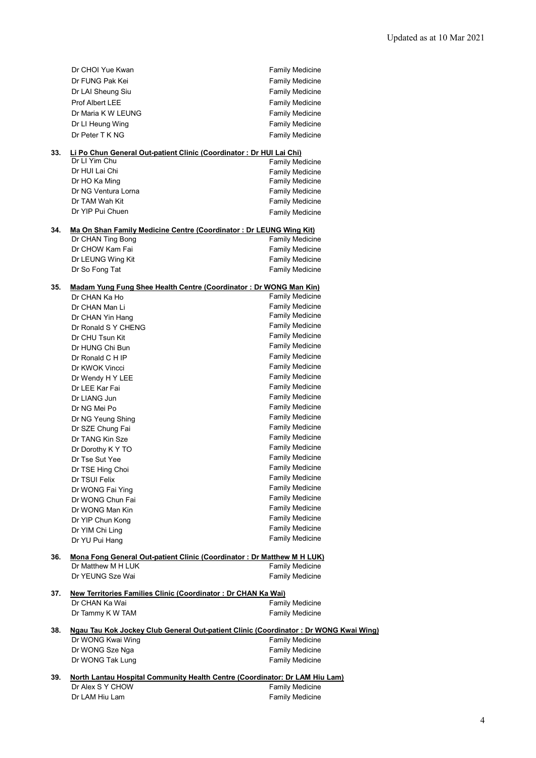|     | Dr CHOI Yue Kwan                                                                        | <b>Family Medicine</b>                           |
|-----|-----------------------------------------------------------------------------------------|--------------------------------------------------|
|     | Dr FUNG Pak Kei                                                                         | <b>Family Medicine</b>                           |
|     | Dr LAI Sheung Siu                                                                       | <b>Family Medicine</b>                           |
|     | Prof Albert LEE                                                                         | <b>Family Medicine</b>                           |
|     | Dr Maria K W LEUNG                                                                      | <b>Family Medicine</b>                           |
|     | Dr LI Heung Wing                                                                        | <b>Family Medicine</b>                           |
|     | Dr Peter T K NG                                                                         | <b>Family Medicine</b>                           |
|     |                                                                                         |                                                  |
| 33. | Li Po Chun General Out-patient Clinic (Coordinator: Dr HUI Lai Chi)                     |                                                  |
|     | Dr LI Yim Chu                                                                           | <b>Family Medicine</b>                           |
|     | Dr HUI Lai Chi                                                                          | Family Medicine                                  |
|     | Dr HO Ka Ming                                                                           | <b>Family Medicine</b>                           |
|     | Dr NG Ventura Lorna                                                                     | <b>Family Medicine</b>                           |
|     | Dr TAM Wah Kit                                                                          | <b>Family Medicine</b>                           |
|     | Dr YIP Pui Chuen                                                                        | <b>Family Medicine</b>                           |
|     |                                                                                         |                                                  |
| 34. | Ma On Shan Family Medicine Centre (Coordinator: Dr LEUNG Wing Kit)<br>Dr CHAN Ting Bong | <b>Family Medicine</b>                           |
|     | Dr CHOW Kam Fai                                                                         | <b>Family Medicine</b>                           |
|     | Dr LEUNG Wing Kit                                                                       | <b>Family Medicine</b>                           |
|     | Dr So Fong Tat                                                                          | <b>Family Medicine</b>                           |
|     |                                                                                         |                                                  |
| 35. | Madam Yung Fung Shee Health Centre (Coordinator: Dr WONG Man Kin)                       |                                                  |
|     | Dr CHAN Ka Ho                                                                           | <b>Family Medicine</b>                           |
|     | Dr CHAN Man Li                                                                          | <b>Family Medicine</b>                           |
|     | Dr CHAN Yin Hang                                                                        | <b>Family Medicine</b>                           |
|     | Dr Ronald S Y CHENG                                                                     | <b>Family Medicine</b>                           |
|     | Dr CHU Tsun Kit                                                                         | <b>Family Medicine</b>                           |
|     | Dr HUNG Chi Bun                                                                         | <b>Family Medicine</b>                           |
|     | Dr Ronald C H IP                                                                        | <b>Family Medicine</b>                           |
|     | Dr KWOK Vincci                                                                          | <b>Family Medicine</b>                           |
|     | Dr Wendy H Y LEE                                                                        | <b>Family Medicine</b>                           |
|     | Dr LEE Kar Fai                                                                          | <b>Family Medicine</b>                           |
|     | Dr LIANG Jun                                                                            | <b>Family Medicine</b>                           |
|     | Dr NG Mei Po                                                                            | <b>Family Medicine</b>                           |
|     | Dr NG Yeung Shing                                                                       | <b>Family Medicine</b>                           |
|     | Dr SZE Chung Fai                                                                        | <b>Family Medicine</b>                           |
|     | Dr TANG Kin Sze                                                                         | <b>Family Medicine</b>                           |
|     | Dr Dorothy K Y TO                                                                       | <b>Family Medicine</b><br><b>Family Medicine</b> |
|     | Dr Tse Sut Yee                                                                          |                                                  |
|     | Dr TSE Hing Choi                                                                        | <b>Family Medicine</b>                           |
|     | Dr TSUI Felix                                                                           | <b>Family Medicine</b><br><b>Family Medicine</b> |
|     | Dr WONG Fai Ying                                                                        | <b>Family Medicine</b>                           |
|     | Dr WONG Chun Fai                                                                        | <b>Family Medicine</b>                           |
|     | Dr WONG Man Kin                                                                         | <b>Family Medicine</b>                           |
|     | Dr YIP Chun Kong                                                                        | Family Medicine                                  |
|     | Dr YIM Chi Ling<br>Dr YU Pui Hang                                                       | <b>Family Medicine</b>                           |
|     |                                                                                         |                                                  |
| 36. | Mona Fong General Out-patient Clinic (Coordinator: Dr Matthew M H LUK)                  |                                                  |
|     | Dr Matthew M H LUK                                                                      | Family Medicine                                  |
|     | Dr YEUNG Sze Wai                                                                        | <b>Family Medicine</b>                           |
|     |                                                                                         |                                                  |
| 37. | New Territories Families Clinic (Coordinator: Dr CHAN Ka Wai)<br>Dr CHAN Ka Wai         | <b>Family Medicine</b>                           |
|     | Dr Tammy K W TAM                                                                        | <b>Family Medicine</b>                           |
|     |                                                                                         |                                                  |
| 38. | Ngau Tau Kok Jockey Club General Out-patient Clinic (Coordinator: Dr WONG Kwai Wing)    |                                                  |
|     | Dr WONG Kwai Wing                                                                       | <b>Family Medicine</b>                           |
|     | Dr WONG Sze Nga                                                                         | <b>Family Medicine</b>                           |
|     | Dr WONG Tak Lung                                                                        | <b>Family Medicine</b>                           |
|     |                                                                                         |                                                  |
| 39. | North Lantau Hospital Community Health Centre (Coordinator: Dr LAM Hiu Lam)             |                                                  |
|     | Dr Alex S Y CHOW                                                                        | <b>Family Medicine</b>                           |
|     | Dr LAM Hiu Lam                                                                          | <b>Family Medicine</b>                           |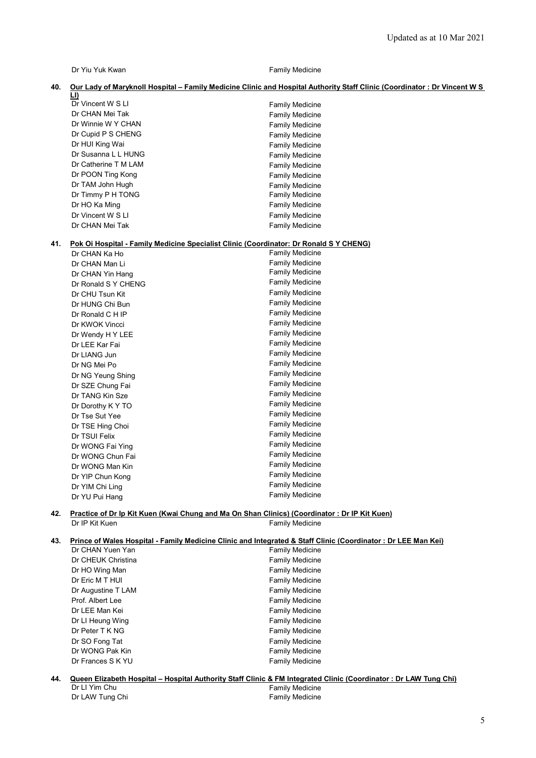Dr Yiu Yuk Kwan Family Medicine

#### **40. Our Lady of Maryknoll Hospital – Family Medicine Clinic and Hospital Authority Staff Clinic (Coordinator : Dr Vincent W S**

|     | LI)                                                                                          |                        |
|-----|----------------------------------------------------------------------------------------------|------------------------|
|     | Dr Vincent W S LI                                                                            | <b>Family Medicine</b> |
|     | Dr CHAN Mei Tak                                                                              | <b>Family Medicine</b> |
|     | Dr Winnie W Y CHAN                                                                           | <b>Family Medicine</b> |
|     | Dr Cupid P S CHENG                                                                           | <b>Family Medicine</b> |
|     | Dr HUI King Wai                                                                              | <b>Family Medicine</b> |
|     | Dr Susanna L L HUNG                                                                          | <b>Family Medicine</b> |
|     | Dr Catherine T M LAM                                                                         | <b>Family Medicine</b> |
|     | Dr POON Ting Kong                                                                            | <b>Family Medicine</b> |
|     | Dr TAM John Hugh                                                                             | <b>Family Medicine</b> |
|     | Dr Timmy P H TONG                                                                            | <b>Family Medicine</b> |
|     | Dr HO Ka Ming                                                                                | <b>Family Medicine</b> |
|     | Dr Vincent W S LI                                                                            | <b>Family Medicine</b> |
|     | Dr CHAN Mei Tak                                                                              | <b>Family Medicine</b> |
| 41. | Pok Oi Hospital - Family Medicine Specialist Clinic (Coordinator: Dr Ronald S Y CHENG)       |                        |
|     | Dr CHAN Ka Ho                                                                                | <b>Family Medicine</b> |
|     | Dr CHAN Man Li                                                                               | <b>Family Medicine</b> |
|     | Dr CHAN Yin Hang                                                                             | <b>Family Medicine</b> |
|     | Dr Ronald S Y CHENG                                                                          | <b>Family Medicine</b> |
|     | Dr CHU Tsun Kit                                                                              | <b>Family Medicine</b> |
|     | Dr HUNG Chi Bun                                                                              | <b>Family Medicine</b> |
|     | Dr Ronald C H IP                                                                             | <b>Family Medicine</b> |
|     | Dr KWOK Vincci                                                                               | <b>Family Medicine</b> |
|     | Dr Wendy H Y LEE                                                                             | <b>Family Medicine</b> |
|     | Dr LEE Kar Fai                                                                               | <b>Family Medicine</b> |
|     | Dr LIANG Jun                                                                                 | <b>Family Medicine</b> |
|     | Dr NG Mei Po                                                                                 | <b>Family Medicine</b> |
|     | Dr NG Yeung Shing                                                                            | <b>Family Medicine</b> |
|     | Dr SZE Chung Fai                                                                             | <b>Family Medicine</b> |
|     | Dr TANG Kin Sze                                                                              | <b>Family Medicine</b> |
|     | Dr Dorothy K Y TO                                                                            | <b>Family Medicine</b> |
|     | Dr Tse Sut Yee                                                                               | <b>Family Medicine</b> |
|     | Dr TSE Hing Choi                                                                             | <b>Family Medicine</b> |
|     | Dr TSUI Felix                                                                                | <b>Family Medicine</b> |
|     | Dr WONG Fai Ying                                                                             | <b>Family Medicine</b> |
|     | Dr WONG Chun Fai                                                                             | <b>Family Medicine</b> |
|     | Dr WONG Man Kin                                                                              | <b>Family Medicine</b> |
|     | Dr YIP Chun Kong                                                                             | <b>Family Medicine</b> |
|     | Dr YIM Chi Ling                                                                              | <b>Family Medicine</b> |
|     | Dr YU Pui Hang                                                                               | <b>Family Medicine</b> |
| 42. | Practice of Dr Ip Kit Kuen (Kwai Chung and Ma On Shan Clinics) (Coordinator: Dr IP Kit Kuen) |                        |
|     | Dr IP Kit Kuen                                                                               | <b>Family Medicine</b> |
|     |                                                                                              |                        |

## **43. Prince of Wales Hospital - Family Medicine Clinic and Integrated & Staff Clinic (Coordinator : Dr LEE Man Kei)**

| Dr CHAN Yuen Yan   | <b>Family Medicine</b> |
|--------------------|------------------------|
| Dr CHEUK Christina | <b>Family Medicine</b> |
| Dr HO Wing Man     | <b>Family Medicine</b> |
| Dr Eric M T HUI    | <b>Family Medicine</b> |
| Dr Augustine T LAM | <b>Family Medicine</b> |
| Prof. Albert Lee   | <b>Family Medicine</b> |
| Dr LEE Man Kei     | <b>Family Medicine</b> |
| Dr LI Heung Wing   | <b>Family Medicine</b> |
| Dr Peter T K NG    | <b>Family Medicine</b> |
| Dr SO Fong Tat     | <b>Family Medicine</b> |
| Dr WONG Pak Kin    | <b>Family Medicine</b> |
| Dr Frances S K YU  | <b>Family Medicine</b> |
|                    |                        |

|                 | 44.  Queen Elizabeth Hospital – Hospital Authoritv Staff Clinic & FM Integrated Clinic (Coordinator : Dr LAW Tung Chi) |  |
|-----------------|------------------------------------------------------------------------------------------------------------------------|--|
| Dr Ll Yim Chu   | Family Medicine                                                                                                        |  |
| Dr LAW Tung Chi | <b>Family Medicine</b>                                                                                                 |  |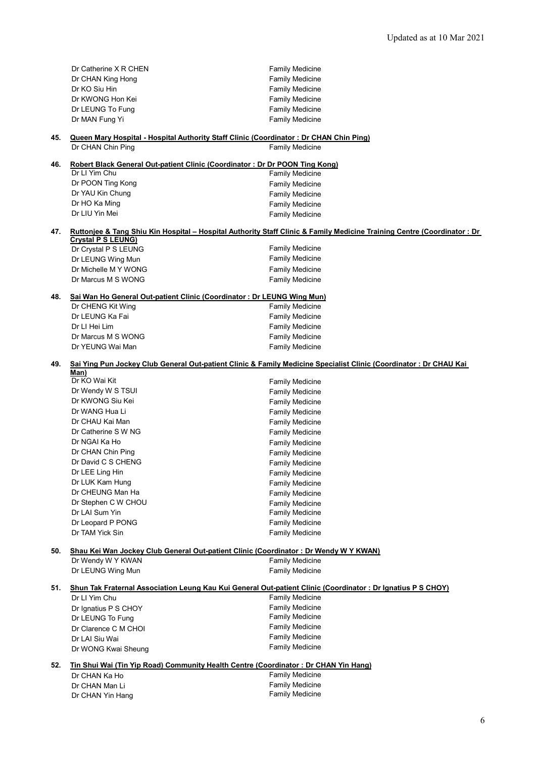|     | Dr Catherine X R CHEN                                                                         | <b>Family Medicine</b>                                                                                                  |
|-----|-----------------------------------------------------------------------------------------------|-------------------------------------------------------------------------------------------------------------------------|
|     | Dr CHAN King Hong                                                                             | <b>Family Medicine</b>                                                                                                  |
|     | Dr KO Siu Hin                                                                                 | <b>Family Medicine</b>                                                                                                  |
|     | Dr KWONG Hon Kei                                                                              | <b>Family Medicine</b>                                                                                                  |
|     | Dr LEUNG To Fung                                                                              | <b>Family Medicine</b>                                                                                                  |
|     | Dr MAN Fung Yi                                                                                | <b>Family Medicine</b>                                                                                                  |
|     |                                                                                               |                                                                                                                         |
| 45. | <b>Queen Mary Hospital - Hospital Authority Staff Clinic (Coordinator: Dr CHAN Chin Ping)</b> |                                                                                                                         |
|     | Dr CHAN Chin Ping                                                                             | <b>Family Medicine</b>                                                                                                  |
|     |                                                                                               |                                                                                                                         |
| 46. | Robert Black General Out-patient Clinic (Coordinator: Dr Dr POON Ting Kong)                   |                                                                                                                         |
|     | Dr LI Yim Chu                                                                                 | <b>Family Medicine</b>                                                                                                  |
|     | Dr POON Ting Kong                                                                             | <b>Family Medicine</b>                                                                                                  |
|     | Dr YAU Kin Chung                                                                              | <b>Family Medicine</b>                                                                                                  |
|     | Dr HO Ka Ming                                                                                 | <b>Family Medicine</b>                                                                                                  |
|     | Dr LIU Yin Mei                                                                                | <b>Family Medicine</b>                                                                                                  |
|     |                                                                                               |                                                                                                                         |
| 47. |                                                                                               | Ruttonjee & Tang Shiu Kin Hospital - Hospital Authority Staff Clinic & Family Medicine Training Centre (Coordinator: Dr |
|     | <b>Crystal P S LEUNG)</b><br>Dr Crystal P S LEUNG                                             | <b>Family Medicine</b>                                                                                                  |
|     |                                                                                               | <b>Family Medicine</b>                                                                                                  |
|     | Dr LEUNG Wing Mun                                                                             |                                                                                                                         |
|     | Dr Michelle M Y WONG                                                                          | <b>Family Medicine</b>                                                                                                  |
|     | Dr Marcus M S WONG                                                                            | <b>Family Medicine</b>                                                                                                  |
| 48. | Sai Wan Ho General Out-patient Clinic (Coordinator: Dr LEUNG Wing Mun)                        |                                                                                                                         |
|     | Dr CHENG Kit Wing                                                                             | <b>Family Medicine</b>                                                                                                  |
|     | Dr LEUNG Ka Fai                                                                               | <b>Family Medicine</b>                                                                                                  |
|     | Dr LI Hei Lim                                                                                 | <b>Family Medicine</b>                                                                                                  |
|     | Dr Marcus M S WONG                                                                            | <b>Family Medicine</b>                                                                                                  |
|     | Dr YEUNG Wai Man                                                                              | <b>Family Medicine</b>                                                                                                  |
|     |                                                                                               |                                                                                                                         |
| 49. |                                                                                               | Sai Ying Pun Jockey Club General Out-patient Clinic & Family Medicine Specialist Clinic (Coordinator: Dr CHAU Kai       |
|     | Man)                                                                                          |                                                                                                                         |
|     | Dr KO Wai Kit                                                                                 | <b>Family Medicine</b>                                                                                                  |
|     | Dr Wendy W S TSUI                                                                             | <b>Family Medicine</b>                                                                                                  |
|     | Dr KWONG Siu Kei                                                                              | <b>Family Medicine</b>                                                                                                  |
|     | Dr WANG Hua Li                                                                                | <b>Family Medicine</b>                                                                                                  |
|     | Dr CHAU Kai Man                                                                               | <b>Family Medicine</b>                                                                                                  |
|     | Dr Catherine S W NG                                                                           | <b>Family Medicine</b>                                                                                                  |
|     | Dr NGAI Ka Ho                                                                                 | <b>Family Medicine</b>                                                                                                  |
|     | Dr CHAN Chin Ping                                                                             | <b>Family Medicine</b>                                                                                                  |
|     | Dr David C S CHENG                                                                            | <b>Family Medicine</b>                                                                                                  |
|     | Dr LEE Ling Hin                                                                               | <b>Family Medicine</b>                                                                                                  |
|     | Dr LUK Kam Hung                                                                               | <b>Family Medicine</b>                                                                                                  |
|     | Dr CHEUNG Man Ha                                                                              | <b>Family Medicine</b>                                                                                                  |
|     | Dr Stephen C W CHOU                                                                           | <b>Family Medicine</b>                                                                                                  |
|     | Dr LAI Sum Yin                                                                                | <b>Family Medicine</b>                                                                                                  |
|     | Dr Leopard P PONG                                                                             | <b>Family Medicine</b>                                                                                                  |
|     | Dr TAM Yick Sin                                                                               | <b>Family Medicine</b>                                                                                                  |
|     |                                                                                               |                                                                                                                         |
| 50. | Shau Kei Wan Jockey Club General Out-patient Clinic (Coordinator: Dr Wendy W Y KWAN)          |                                                                                                                         |
|     | Dr Wendy W Y KWAN                                                                             | <b>Family Medicine</b>                                                                                                  |
|     | Dr LEUNG Wing Mun                                                                             | <b>Family Medicine</b>                                                                                                  |
|     |                                                                                               |                                                                                                                         |
| 51. |                                                                                               | Shun Tak Fraternal Association Leung Kau Kui General Out-patient Clinic (Coordinator: Dr Ignatius P S CHOY)             |
|     | Dr LI Yim Chu                                                                                 | <b>Family Medicine</b>                                                                                                  |
|     | Dr Ignatius P S CHOY                                                                          | <b>Family Medicine</b>                                                                                                  |
|     | Dr LEUNG To Fung                                                                              | <b>Family Medicine</b>                                                                                                  |
|     | Dr Clarence C M CHOI                                                                          | <b>Family Medicine</b>                                                                                                  |
|     | Dr LAI Siu Wai                                                                                | <b>Family Medicine</b>                                                                                                  |
|     | Dr WONG Kwai Sheung                                                                           | <b>Family Medicine</b>                                                                                                  |
|     |                                                                                               |                                                                                                                         |
| 52. | Tin Shui Wai (Tin Yip Road) Community Health Centre (Coordinator: Dr CHAN Yin Hang)           |                                                                                                                         |
|     | Dr CHAN Ka Ho                                                                                 | <b>Family Medicine</b>                                                                                                  |
|     | Dr CHAN Man Li                                                                                | <b>Family Medicine</b>                                                                                                  |
|     | Dr CHAN Yin Hang                                                                              | <b>Family Medicine</b>                                                                                                  |
|     |                                                                                               |                                                                                                                         |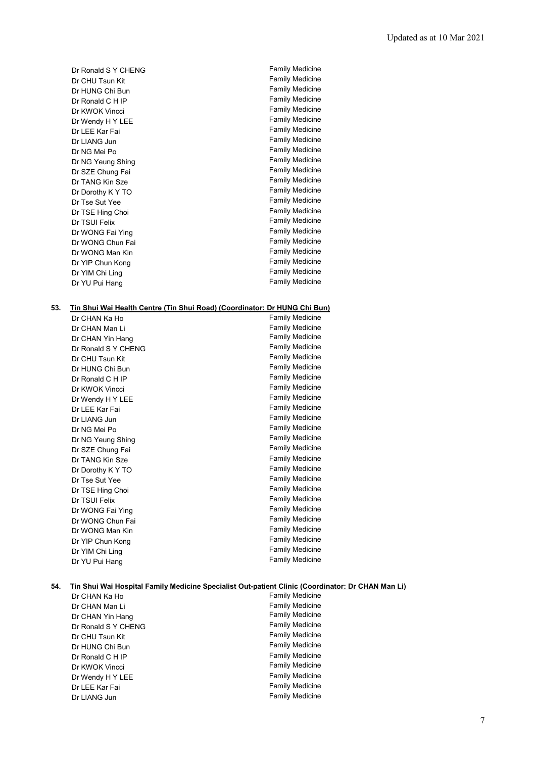| Dr Ronald S Y CHENG | <b>Family Medicine</b> |
|---------------------|------------------------|
| Dr CHU Tsun Kit     | <b>Family Medicine</b> |
| Dr HUNG Chi Bun     | <b>Family Medicine</b> |
| Dr Ronald C H IP    | <b>Family Medicine</b> |
| Dr KWOK Vincci      | <b>Family Medicine</b> |
| Dr Wendy H Y LEE    | <b>Family Medicine</b> |
| Dr LEE Kar Fai      | <b>Family Medicine</b> |
| Dr LIANG Jun        | <b>Family Medicine</b> |
| Dr NG Mei Po        | <b>Family Medicine</b> |
| Dr NG Yeung Shing   | <b>Family Medicine</b> |
| Dr SZE Chung Fai    | <b>Family Medicine</b> |
| Dr TANG Kin Sze     | <b>Family Medicine</b> |
| Dr Dorothy K Y TO   | <b>Family Medicine</b> |
| Dr Tse Sut Yee      | <b>Family Medicine</b> |
| Dr TSE Hing Choi    | <b>Family Medicine</b> |
| Dr TSUI Felix       | <b>Family Medicine</b> |
| Dr WONG Fai Ying    | <b>Family Medicine</b> |
| Dr WONG Chun Fai    | <b>Family Medicine</b> |
| Dr WONG Man Kin     | <b>Family Medicine</b> |
| Dr YIP Chun Kong    | <b>Family Medicine</b> |
| Dr YIM Chi Ling     | <b>Family Medicine</b> |
| Dr YU Pui Hang      | <b>Family Medicine</b> |

#### **53. Tin Shui Wai Health Centre (Tin Shui Road) (Coordinator: Dr HUNG Chi Bun)**

| Dr CHAN Ka Ho       | <b>Family Medicine</b> |
|---------------------|------------------------|
| Dr CHAN Man Li      | Family Medicine        |
| Dr CHAN Yin Hang    | <b>Family Medicine</b> |
| Dr Ronald S Y CHENG | <b>Family Medicine</b> |
| Dr CHU Tsun Kit     | <b>Family Medicine</b> |
| Dr HUNG Chi Bun     | <b>Family Medicine</b> |
| Dr Ronald C H IP    | <b>Family Medicine</b> |
| Dr KWOK Vincci      | Family Medicine        |
| Dr Wendy H Y LEE    | <b>Family Medicine</b> |
| Dr LEE Kar Fai      | <b>Family Medicine</b> |
| Dr LIANG Jun        | <b>Family Medicine</b> |
| Dr NG Mei Po        | <b>Family Medicine</b> |
| Dr NG Yeung Shing   | <b>Family Medicine</b> |
| Dr SZE Chung Fai    | <b>Family Medicine</b> |
| Dr TANG Kin Sze     | <b>Family Medicine</b> |
| Dr Dorothy K Y TO   | <b>Family Medicine</b> |
| Dr Tse Sut Yee      | <b>Family Medicine</b> |
| Dr TSE Hing Choi    | <b>Family Medicine</b> |
| Dr TSUI Felix       | <b>Family Medicine</b> |
| Dr WONG Fai Ying    | <b>Family Medicine</b> |
| Dr WONG Chun Fai    | <b>Family Medicine</b> |
| Dr WONG Man Kin     | <b>Family Medicine</b> |
| Dr YIP Chun Kong    | <b>Family Medicine</b> |
| Dr YIM Chi Ling     | <b>Family Medicine</b> |
| Dr YU Pui Hang      | <b>Family Medicine</b> |

#### **54. Tin Shui Wai Hospital Family Medicine Specialist Out-patient Clinic (Coordinator: Dr CHAN Man Li)**

| Dr CHAN Ka Ho       | <b>Family Medicine</b> |
|---------------------|------------------------|
| Dr CHAN Man Li      | <b>Family Medicine</b> |
| Dr CHAN Yin Hang    | <b>Family Medicine</b> |
| Dr Ronald S Y CHENG | <b>Family Medicine</b> |
| Dr CHU Tsun Kit     | <b>Family Medicine</b> |
| Dr HUNG Chi Bun     | <b>Family Medicine</b> |
| Dr Ronald C H IP    | <b>Family Medicine</b> |
| Dr KWOK Vincci      | <b>Family Medicine</b> |
| Dr Wendy H Y LEE    | <b>Family Medicine</b> |
| Dr LEE Kar Fai      | <b>Family Medicine</b> |
| Dr LIANG Jun        | <b>Family Medicine</b> |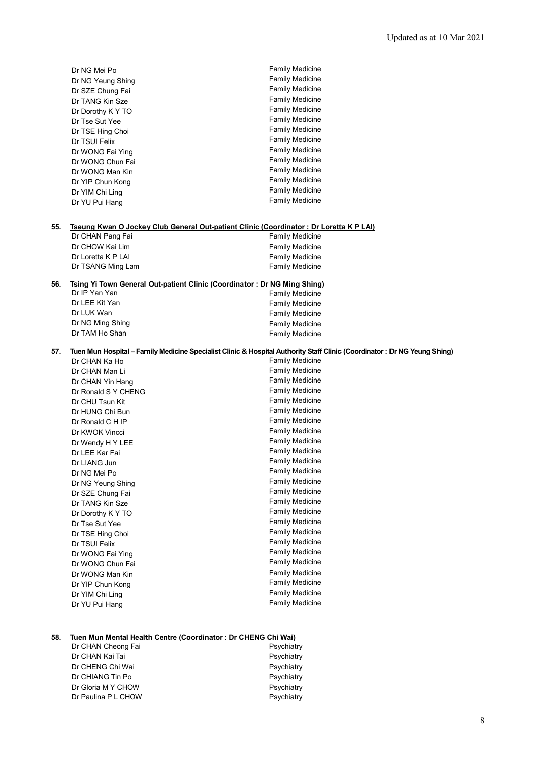|     | Dr NG Mei Po                                                             | <b>Family Medicine</b>                                                                                                   |
|-----|--------------------------------------------------------------------------|--------------------------------------------------------------------------------------------------------------------------|
|     | Dr NG Yeung Shing                                                        | <b>Family Medicine</b>                                                                                                   |
|     | Dr SZE Chung Fai                                                         | <b>Family Medicine</b>                                                                                                   |
|     | Dr TANG Kin Sze                                                          | <b>Family Medicine</b>                                                                                                   |
|     | Dr Dorothy K Y TO                                                        | <b>Family Medicine</b>                                                                                                   |
|     | Dr Tse Sut Yee                                                           | <b>Family Medicine</b>                                                                                                   |
|     | Dr TSE Hing Choi                                                         | <b>Family Medicine</b>                                                                                                   |
|     | Dr TSUI Felix                                                            | <b>Family Medicine</b>                                                                                                   |
|     | Dr WONG Fai Ying                                                         | <b>Family Medicine</b>                                                                                                   |
|     | Dr WONG Chun Fai                                                         | <b>Family Medicine</b>                                                                                                   |
|     | Dr WONG Man Kin                                                          | <b>Family Medicine</b>                                                                                                   |
|     | Dr YIP Chun Kong                                                         | <b>Family Medicine</b>                                                                                                   |
|     | Dr YIM Chi Ling                                                          | <b>Family Medicine</b>                                                                                                   |
|     | Dr YU Pui Hang                                                           | <b>Family Medicine</b>                                                                                                   |
|     |                                                                          |                                                                                                                          |
|     |                                                                          |                                                                                                                          |
| 55. |                                                                          | Tseung Kwan O Jockey Club General Out-patient Clinic (Coordinator: Dr Loretta K P LAI)                                   |
|     | Dr CHAN Pang Fai                                                         | <b>Family Medicine</b>                                                                                                   |
|     | Dr CHOW Kai Lim                                                          | <b>Family Medicine</b>                                                                                                   |
|     | Dr Loretta K P LAI                                                       | <b>Family Medicine</b>                                                                                                   |
|     | Dr TSANG Ming Lam                                                        | <b>Family Medicine</b>                                                                                                   |
| 56. | Tsing Yi Town General Out-patient Clinic (Coordinator: Dr NG Ming Shing) |                                                                                                                          |
|     | Dr IP Yan Yan                                                            | Family Medicine                                                                                                          |
|     | Dr LEE Kit Yan                                                           | <b>Family Medicine</b>                                                                                                   |
|     | Dr LUK Wan                                                               | <b>Family Medicine</b>                                                                                                   |
|     | Dr NG Ming Shing                                                         | <b>Family Medicine</b>                                                                                                   |
|     | Dr TAM Ho Shan                                                           | <b>Family Medicine</b>                                                                                                   |
|     |                                                                          |                                                                                                                          |
| 57. |                                                                          | Tuen Mun Hospital – Family Medicine Specialist Clinic & Hospital Authority Staff Clinic (Coordinator: Dr NG Yeung Shing) |
|     | Dr CHAN Ka Ho                                                            | <b>Family Medicine</b>                                                                                                   |
|     | Dr CHAN Man Li                                                           | <b>Family Medicine</b>                                                                                                   |
|     | Dr CHAN Yin Hang                                                         | <b>Family Medicine</b>                                                                                                   |
|     | Dr Ronald S Y CHENG                                                      | <b>Family Medicine</b>                                                                                                   |
|     | Dr CHU Tsun Kit                                                          | <b>Family Medicine</b>                                                                                                   |
|     | Dr HUNG Chi Bun                                                          | <b>Family Medicine</b>                                                                                                   |
|     | Dr Ronald C H IP                                                         | <b>Family Medicine</b>                                                                                                   |
|     | Dr KWOK Vincci                                                           | <b>Family Medicine</b>                                                                                                   |
|     | Dr Wendy H Y LEE                                                         | <b>Family Medicine</b>                                                                                                   |
|     | Dr LEE Kar Fai                                                           | <b>Family Medicine</b>                                                                                                   |
|     | Dr LIANG Jun                                                             | <b>Family Medicine</b>                                                                                                   |
|     | Dr NG Mei Po                                                             | <b>Family Medicine</b>                                                                                                   |
|     | Dr NG Yeung Shing                                                        | <b>Family Medicine</b>                                                                                                   |
|     | Dr SZE Chung Fai                                                         | <b>Family Medicine</b>                                                                                                   |
|     | Dr TANG Kin Sze                                                          | Family Medicine                                                                                                          |
|     | Dr Dorothy K Y TO                                                        | <b>Family Medicine</b>                                                                                                   |
|     | Dr Tse Sut Yee                                                           | <b>Family Medicine</b>                                                                                                   |
|     | Dr TSE Hing Choi                                                         | <b>Family Medicine</b>                                                                                                   |
|     |                                                                          | <b>Family Medicine</b>                                                                                                   |
|     | Dr TSUI Felix                                                            |                                                                                                                          |
|     | Dr WONG Fai Ying                                                         | <b>Family Medicine</b>                                                                                                   |
|     | Dr WONG Chun Fai                                                         | <b>Family Medicine</b>                                                                                                   |
|     | Dr WONG Man Kin                                                          | <b>Family Medicine</b>                                                                                                   |
|     | Dr YIP Chun Kong                                                         | Family Medicine                                                                                                          |
|     | Dr YIM Chi Ling<br>Dr YU Pui Hang                                        | <b>Family Medicine</b><br><b>Family Medicine</b>                                                                         |

# **58. Tuen Mun Mental Health Centre (Coordinator : Dr CHENG Chi Wai)**

| Dr CHAN Cheong Fai  | Psychiatry |
|---------------------|------------|
| Dr CHAN Kai Tai     | Psychiatry |
| Dr CHENG Chi Wai    | Psychiatry |
| Dr CHIANG Tin Po    | Psychiatry |
| Dr Gloria M Y CHOW  | Psychiatry |
| Dr Paulina P L CHOW | Psychiatry |
|                     |            |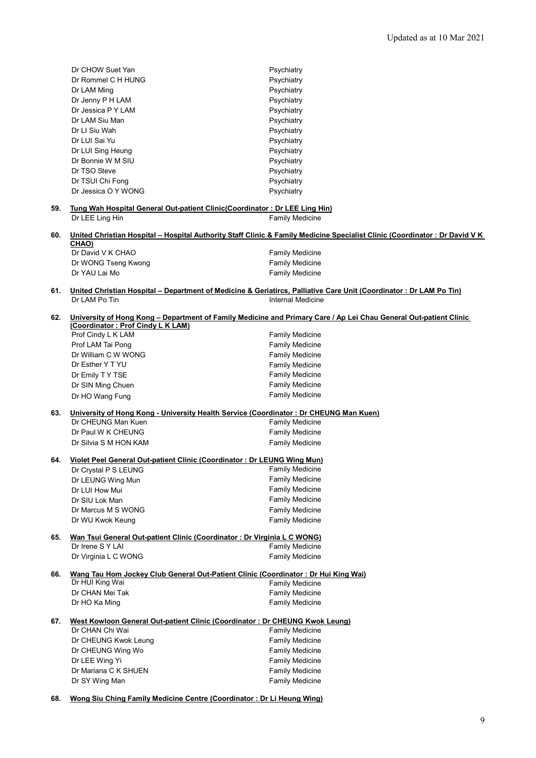|     | Dr CHOW Suet Yan                                                                                                           | Psychiatry                                                                                                          |  |  |
|-----|----------------------------------------------------------------------------------------------------------------------------|---------------------------------------------------------------------------------------------------------------------|--|--|
|     | Dr Rommel C H HUNG                                                                                                         | Psychiatry                                                                                                          |  |  |
|     | Dr LAM Ming                                                                                                                | Psychiatry                                                                                                          |  |  |
|     | Dr Jenny P H LAM                                                                                                           | Psychiatry                                                                                                          |  |  |
|     | Dr Jessica P Y LAM                                                                                                         | Psychiatry                                                                                                          |  |  |
|     | Dr LAM Siu Man                                                                                                             | Psychiatry                                                                                                          |  |  |
|     | Dr LI Siu Wah                                                                                                              | Psychiatry                                                                                                          |  |  |
|     | Dr LUI Sai Yu                                                                                                              | Psychiatry                                                                                                          |  |  |
|     | Dr LUI Sing Heung                                                                                                          | Psychiatry                                                                                                          |  |  |
|     | Dr Bonnie W M SIU                                                                                                          | Psychiatry                                                                                                          |  |  |
|     | Dr TSO Steve                                                                                                               | Psychiatry                                                                                                          |  |  |
|     | Dr TSUI Chi Fong                                                                                                           |                                                                                                                     |  |  |
|     | Dr Jessica O Y WONG                                                                                                        | Psychiatry<br>Psychiatry                                                                                            |  |  |
|     |                                                                                                                            |                                                                                                                     |  |  |
| 59. | Tung Wah Hospital General Out-patient Clinic (Coordinator: Dr LEE Ling Hin)                                                |                                                                                                                     |  |  |
|     | Dr LEE Ling Hin                                                                                                            | <b>Family Medicine</b>                                                                                              |  |  |
| 60. | United Christian Hospital - Hospital Authority Staff Clinic & Family Medicine Specialist Clinic (Coordinator: Dr David V K |                                                                                                                     |  |  |
|     | CHAO)                                                                                                                      |                                                                                                                     |  |  |
|     | Dr David V K CHAO                                                                                                          | <b>Family Medicine</b>                                                                                              |  |  |
|     | Dr WONG Tseng Kwong                                                                                                        | <b>Family Medicine</b>                                                                                              |  |  |
|     | Dr YAU Lai Mo                                                                                                              | <b>Family Medicine</b>                                                                                              |  |  |
| 61. |                                                                                                                            | United Christian Hospital - Department of Medicine & Geriatircs, Palliative Care Unit (Coordinator : Dr LAM Po Tin) |  |  |
|     | Dr LAM Po Tin                                                                                                              | Internal Medicine                                                                                                   |  |  |
|     |                                                                                                                            |                                                                                                                     |  |  |
| 62. | University of Hong Kong - Department of Family Medicine and Primary Care / Ap Lei Chau General Out-patient Clinic          |                                                                                                                     |  |  |
|     | (Coordinator: Prof Cindy L K LAM)                                                                                          |                                                                                                                     |  |  |
|     | Prof Cindy L K LAM                                                                                                         | <b>Family Medicine</b>                                                                                              |  |  |
|     | Prof LAM Tai Pong                                                                                                          | <b>Family Medicine</b>                                                                                              |  |  |
|     | Dr William C W WONG                                                                                                        | <b>Family Medicine</b>                                                                                              |  |  |
|     | Dr Esther Y T YU                                                                                                           | <b>Family Medicine</b>                                                                                              |  |  |
|     | Dr Emily TY TSE                                                                                                            | <b>Family Medicine</b>                                                                                              |  |  |
|     | Dr SIN Ming Chuen                                                                                                          | <b>Family Medicine</b>                                                                                              |  |  |
|     | Dr HO Wang Fung                                                                                                            | <b>Family Medicine</b>                                                                                              |  |  |
| 63. | University of Hong Kong - University Health Service (Coordinator: Dr CHEUNG Man Kuen)                                      |                                                                                                                     |  |  |
|     | Dr CHEUNG Man Kuen                                                                                                         | <b>Family Medicine</b>                                                                                              |  |  |
|     | Dr Paul W K CHEUNG                                                                                                         | <b>Family Medicine</b>                                                                                              |  |  |
|     | Dr Silvia S M HON KAM                                                                                                      | <b>Family Medicine</b>                                                                                              |  |  |
|     |                                                                                                                            |                                                                                                                     |  |  |
| 64. | Violet Peel General Out-patient Clinic (Coordinator: Dr LEUNG Wing Mun)                                                    |                                                                                                                     |  |  |
|     | Dr Crystal P S LEUNG                                                                                                       | <b>Family Medicine</b>                                                                                              |  |  |
|     | Dr LEUNG Wing Mun                                                                                                          | <b>Family Medicine</b>                                                                                              |  |  |
|     | Dr LUI How Mui                                                                                                             | <b>Family Medicine</b>                                                                                              |  |  |
|     | Dr SIU Lok Man                                                                                                             | <b>Family Medicine</b>                                                                                              |  |  |
|     | Dr Marcus M S WONG                                                                                                         | <b>Family Medicine</b>                                                                                              |  |  |
|     | Dr WU Kwok Keung                                                                                                           | <b>Family Medicine</b>                                                                                              |  |  |
| 65. | Wan Tsui General Out-patient Clinic (Coordinator: Dr Virginia L C WONG)                                                    |                                                                                                                     |  |  |
|     | Dr Irene S Y LAI                                                                                                           | <b>Family Medicine</b>                                                                                              |  |  |
|     | Dr Virginia L C WONG                                                                                                       | <b>Family Medicine</b>                                                                                              |  |  |
| 66. | Wang Tau Hom Jockey Club General Out-Patient Clinic (Coordinator: Dr Hui King Wai)                                         |                                                                                                                     |  |  |
|     | Dr HUI King Wai                                                                                                            | <b>Family Medicine</b>                                                                                              |  |  |
|     | Dr CHAN Mei Tak                                                                                                            | <b>Family Medicine</b>                                                                                              |  |  |
|     | Dr HO Ka Ming                                                                                                              | <b>Family Medicine</b>                                                                                              |  |  |
|     |                                                                                                                            |                                                                                                                     |  |  |
| 67. | West Kowloon General Out-patient Clinic (Coordinator: Dr CHEUNG Kwok Leung)                                                |                                                                                                                     |  |  |
|     | Dr CHAN Chi Wai                                                                                                            | <b>Family Medicine</b>                                                                                              |  |  |
|     | Dr CHEUNG Kwok Leung                                                                                                       | <b>Family Medicine</b>                                                                                              |  |  |
|     | Dr CHEUNG Wing Wo                                                                                                          | <b>Family Medicine</b>                                                                                              |  |  |
|     | Dr LEE Wing Yi                                                                                                             | <b>Family Medicine</b>                                                                                              |  |  |
|     | Dr Mariana C K SHUEN                                                                                                       | <b>Family Medicine</b>                                                                                              |  |  |
|     | Dr SY Wing Man                                                                                                             | <b>Family Medicine</b>                                                                                              |  |  |

**68. Wong Siu Ching Family Medicine Centre (Coordinator : Dr Li Heung Wing)**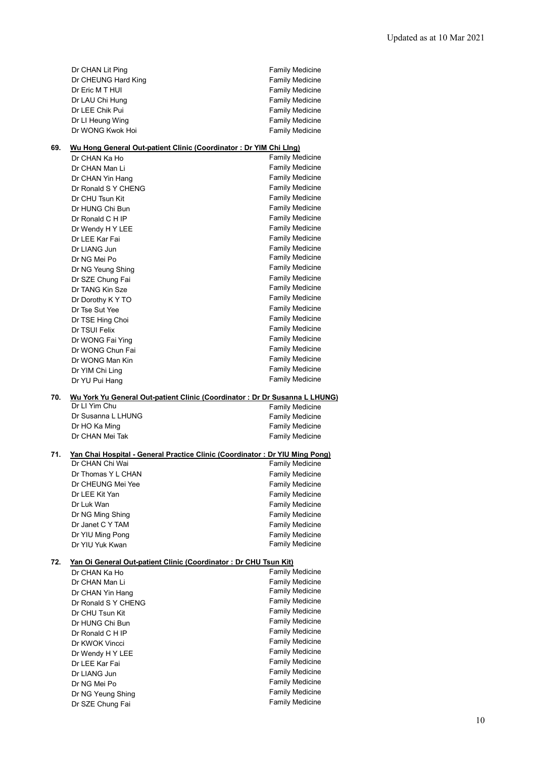|     | Dr CHAN Lit Ping                                                            | <b>Family Medicine</b> |
|-----|-----------------------------------------------------------------------------|------------------------|
|     | Dr CHEUNG Hard King                                                         | <b>Family Medicine</b> |
|     | Dr Eric M T HUI                                                             | Family Medicine        |
|     | Dr LAU Chi Hung                                                             | Family Medicine        |
|     | Dr LEE Chik Pui                                                             | Family Medicine        |
|     | Dr LI Heung Wing                                                            | <b>Family Medicine</b> |
|     | Dr WONG Kwok Hoi                                                            |                        |
|     |                                                                             | <b>Family Medicine</b> |
| 69. | Wu Hong General Out-patient Clinic (Coordinator: Dr YIM Chi Llng)           |                        |
|     | Dr CHAN Ka Ho                                                               | Family Medicine        |
|     | Dr CHAN Man Li                                                              | Family Medicine        |
|     |                                                                             | Family Medicine        |
|     | Dr CHAN Yin Hang                                                            |                        |
|     | Dr Ronald S Y CHENG                                                         | <b>Family Medicine</b> |
|     | Dr CHU Tsun Kit                                                             | <b>Family Medicine</b> |
|     | Dr HUNG Chi Bun                                                             | Family Medicine        |
|     | Dr Ronald C H IP                                                            | Family Medicine        |
|     | Dr Wendy H Y LEE                                                            | <b>Family Medicine</b> |
|     | Dr LEE Kar Fai                                                              | <b>Family Medicine</b> |
|     | Dr LIANG Jun                                                                | <b>Family Medicine</b> |
|     | Dr NG Mei Po                                                                | Family Medicine        |
|     | Dr NG Yeung Shing                                                           | <b>Family Medicine</b> |
|     | Dr SZE Chung Fai                                                            | Family Medicine        |
|     | Dr TANG Kin Sze                                                             | <b>Family Medicine</b> |
|     | Dr Dorothy K Y TO                                                           | <b>Family Medicine</b> |
|     |                                                                             | <b>Family Medicine</b> |
|     | Dr Tse Sut Yee                                                              | <b>Family Medicine</b> |
|     | Dr TSE Hing Choi                                                            |                        |
|     | Dr TSUI Felix                                                               | <b>Family Medicine</b> |
|     | Dr WONG Fai Ying                                                            | Family Medicine        |
|     | Dr WONG Chun Fai                                                            | <b>Family Medicine</b> |
|     | Dr WONG Man Kin                                                             | Family Medicine        |
|     | Dr YIM Chi Ling                                                             | <b>Family Medicine</b> |
|     |                                                                             | <b>Family Medicine</b> |
|     | Dr YU Pui Hang                                                              |                        |
| 70. | Wu York Yu General Out-patient Clinic (Coordinator: Dr Dr Susanna L LHUNG)  |                        |
|     | Dr LI Yim Chu                                                               | <b>Family Medicine</b> |
|     | Dr Susanna L LHUNG                                                          | Family Medicine        |
|     | Dr HO Ka Ming                                                               | <b>Family Medicine</b> |
|     | Dr CHAN Mei Tak                                                             | <b>Family Medicine</b> |
|     |                                                                             |                        |
| 71. | Yan Chai Hospital - General Practice Clinic (Coordinator: Dr YIU Ming Pong) |                        |
|     | Dr CHAN Chi Wai                                                             | <b>Family Medicine</b> |
|     | Dr Thomas Y L CHAN                                                          | <b>Family Medicine</b> |
|     | Dr CHEUNG Mei Yee                                                           | Family Medicine        |
|     | Dr LEE Kit Yan                                                              | Family Medicine        |
|     | Dr Luk Wan                                                                  | Family Medicine        |
|     | Dr NG Ming Shing                                                            | <b>Family Medicine</b> |
|     | Dr Janet C Y TAM                                                            | Family Medicine        |
|     | Dr YIU Ming Pong                                                            | <b>Family Medicine</b> |
|     | Dr YIU Yuk Kwan                                                             | Family Medicine        |
|     |                                                                             |                        |
| 72. | Yan Oi General Out-patient Clinic (Coordinator: Dr CHU Tsun Kit)            |                        |
|     | Dr CHAN Ka Ho                                                               | Family Medicine        |
|     | Dr CHAN Man Li                                                              | Family Medicine        |
|     | Dr CHAN Yin Hang                                                            | Family Medicine        |
|     | Dr Ronald S Y CHENG                                                         | Family Medicine        |
|     | Dr CHU Tsun Kit                                                             | Family Medicine        |
|     | Dr HUNG Chi Bun                                                             | <b>Family Medicine</b> |
|     | Dr Ronald C H IP                                                            | <b>Family Medicine</b> |
|     | Dr KWOK Vincci                                                              | <b>Family Medicine</b> |
|     | Dr Wendy H Y LEE                                                            | Family Medicine        |
|     | Dr LEE Kar Fai                                                              | Family Medicine        |
|     | Dr LIANG Jun                                                                | Family Medicine        |
|     | Dr NG Mei Po                                                                | Family Medicine        |
|     |                                                                             | Family Medicine        |
|     | Dr NG Yeung Shing<br>Dr SZE Chung Fai                                       | Family Medicine        |